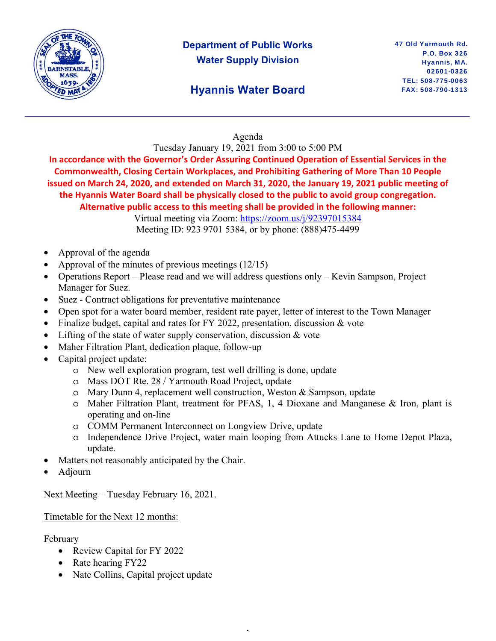

## **Department of Public Works Water Supply Division**

## **Hyannis Water Board**

### Agenda

Tuesday January 19, 2021 from 3:00 to 5:00 PM

**In accordance with the Governor's Order Assuring Continued Operation of Essential Services in the Commonwealth, Closing Certain Workplaces, and Prohibiting Gathering of More Than 10 People issued on March 24, 2020, and extended on March 31, 2020, the January 19, 2021 public meeting of the Hyannis Water Board shall be physically closed to the public to avoid group congregation. Alternative public access to this meeting shall be provided in the following manner:** 

> Virtual meeting via Zoom: https://zoom.us/j/92397015384 Meeting ID: 923 9701 5384, or by phone: (888)475-4499

- Approval of the agenda
- Approval of the minutes of previous meetings (12/15)
- Operations Report Please read and we will address questions only Kevin Sampson, Project Manager for Suez.
- Suez Contract obligations for preventative maintenance
- Open spot for a water board member, resident rate payer, letter of interest to the Town Manager
- Finalize budget, capital and rates for FY 2022, presentation, discussion & vote
- Lifting of the state of water supply conservation, discussion  $\&$  vote
- Maher Filtration Plant, dedication plaque, follow-up
- Capital project update:
	- o New well exploration program, test well drilling is done, update
	- o Mass DOT Rte. 28 / Yarmouth Road Project, update
	- o Mary Dunn 4, replacement well construction, Weston & Sampson, update
	- o Maher Filtration Plant, treatment for PFAS, 1, 4 Dioxane and Manganese & Iron, plant is operating and on-line
	- o COMM Permanent Interconnect on Longview Drive, update
	- o Independence Drive Project, water main looping from Attucks Lane to Home Depot Plaza, update.

,

- Matters not reasonably anticipated by the Chair.
- Adjourn

Next Meeting – Tuesday February 16, 2021.

#### Timetable for the Next 12 months:

February

- Review Capital for FY 2022
- Rate hearing FY22
- Nate Collins, Capital project update